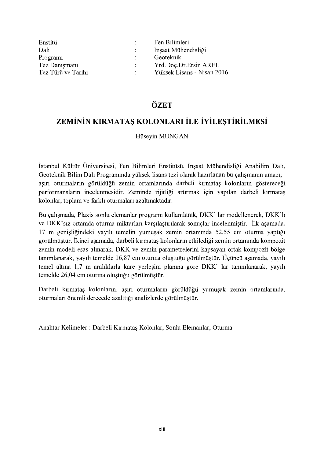| Enstitü                         | Fen Bilimleri              |
|---------------------------------|----------------------------|
| Dal                             | Insaat Mühendisliği        |
| Program<br>$\ddot{\phantom{0}}$ | Geoteknik                  |
| Tez Danışmanı                   | Yrd.Doc.Dr.Ersin AREL      |
| Tez Türü ve Tarihi              | Yüksek Lisans - Nisan 2016 |

## ÖZET

# ZEMİNİN KIRMATAŞ KOLONLARI İLE İYİLEŞTİRİLMESİ

#### Hüseyin MUNGAN

İstanbul Kültür Üniversitesi, Fen Bilimleri Enstitüsü, İnşaat Mühendisliği Anabilim Dalı, Geoteknik Bilim Dalı Programında yüksek lisans tezi olarak hazırlanan bu çalışmanın amacı; asırı oturmaların görüldüğü zemin ortamlarında darbeli kırmataş kolonların göstereceği performansların incelenmesidir. Zeminde rijitliği artırmak için yapılan darbeli kırmataş kolonlar, toplam ve farklı oturmaları azaltmaktadır.

Bu çalışmada, Plaxis sonlu elemanlar programı kullanılarak, DKK' lar modellenerek, DKK'lı ve DKK'sız ortamda oturma miktarları karşılaştırılarak sonuçlar incelenmiştir. İlk aşamada, 17 m genişliğindeki yayılı temelin yumuşak zemin ortamında 52,55 cm oturma yaptığı görülmüştür. İkinci aşamada, darbeli kırmataş kolonların etkilediği zemin ortamında kompozit zemin modeli esas alınarak, DKK ve zemin parametrelerini kapsayan ortak kompozit bölge tanımlanarak, yayılı temelde 16,87 cm oturma oluştuğu görülmüştür. Üçüncü<br>temel altına 1,7 m aralıklarla kare yerleşim planına göre DKK'lar tanıı<br>temelde 26,04 cm oturma oluştuğu görülmüştür.<br>Darbeli kırmataş kolonların, a